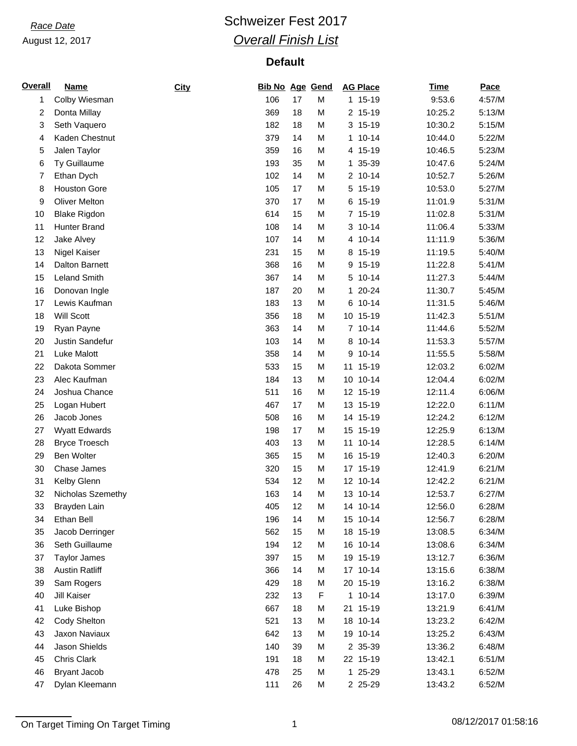## **Race Date Race Date Race Date Race Date Race Date Race 2017** *Overall Finish List*

| <b>Overall</b> | <b>Name</b>           | City | <b>Bib No Age Gend</b> |    |   | <b>AG Place</b> | <b>Time</b> | Pace   |
|----------------|-----------------------|------|------------------------|----|---|-----------------|-------------|--------|
| 1              | Colby Wiesman         |      | 106                    | 17 | M | 1 15-19         | 9:53.6      | 4:57/M |
| 2              | Donta Millay          |      | 369                    | 18 | M | 2 15-19         | 10:25.2     | 5:13/M |
| 3              | Seth Vaquero          |      | 182                    | 18 | M | 3 15-19         | 10:30.2     | 5:15/M |
| 4              | Kaden Chestnut        |      | 379                    | 14 | M | $10 - 14$<br>1  | 10:44.0     | 5:22/M |
| 5              | Jalen Taylor          |      | 359                    | 16 | M | 4 15-19         | 10:46.5     | 5:23/M |
| 6              | Ty Guillaume          |      | 193                    | 35 | M | 1 35-39         | 10:47.6     | 5:24/M |
| 7              | Ethan Dych            |      | 102                    | 14 | M | 2 10-14         | 10:52.7     | 5:26/M |
| 8              | <b>Houston Gore</b>   |      | 105                    | 17 | M | 15-19<br>5      | 10:53.0     | 5:27/M |
| 9              | <b>Oliver Melton</b>  |      | 370                    | 17 | M | 6 15-19         | 11:01.9     | 5:31/M |
| 10             | <b>Blake Rigdon</b>   |      | 614                    | 15 | M | 7 15-19         | 11:02.8     | 5:31/M |
| 11             | Hunter Brand          |      | 108                    | 14 | M | 3 10-14         | 11:06.4     | 5:33/M |
| 12             | Jake Alvey            |      | 107                    | 14 | M | 4 10-14         | 11:11.9     | 5:36/M |
| 13             | Nigel Kaiser          |      | 231                    | 15 | M | 8 15-19         | 11:19.5     | 5:40/M |
| 14             | <b>Dalton Barnett</b> |      | 368                    | 16 | M | $15-19$<br>9    | 11:22.8     | 5:41/M |
| 15             | <b>Leland Smith</b>   |      | 367                    | 14 | M | 5 10-14         | 11:27.3     | 5:44/M |
| 16             | Donovan Ingle         |      | 187                    | 20 | M | $20 - 24$<br>1  | 11:30.7     | 5:45/M |
| 17             | Lewis Kaufman         |      | 183                    | 13 | M | 6 10-14         | 11:31.5     | 5:46/M |
| 18             | Will Scott            |      | 356                    | 18 | M | 10 15-19        | 11:42.3     | 5:51/M |
| 19             | Ryan Payne            |      | 363                    | 14 | M | 7 10-14         | 11:44.6     | 5:52/M |
| 20             | Justin Sandefur       |      | 103                    | 14 | M | $10 - 14$<br>8  | 11:53.3     | 5:57/M |
| 21             | Luke Malott           |      | 358                    | 14 | M | $10 - 14$<br>9  | 11:55.5     | 5:58/M |
| 22             | Dakota Sommer         |      | 533                    | 15 | M | 11 15-19        | 12:03.2     | 6:02/M |
| 23             | Alec Kaufman          |      | 184                    | 13 | M | 10 10-14        | 12:04.4     | 6:02/M |
| 24             | Joshua Chance         |      | 511                    | 16 | M | 12 15-19        | 12:11.4     | 6:06/M |
| 25             | Logan Hubert          |      | 467                    | 17 | M | 13 15-19        | 12:22.0     | 6:11/M |
| 26             | Jacob Jones           |      | 508                    | 16 | M | 14 15-19        | 12:24.2     | 6:12/M |
| 27             | <b>Wyatt Edwards</b>  |      | 198                    | 17 | M | 15 15-19        | 12:25.9     | 6:13/M |
| 28             | <b>Bryce Troesch</b>  |      | 403                    | 13 | M | $10 - 14$<br>11 | 12:28.5     | 6:14/M |
| 29             | <b>Ben Wolter</b>     |      | 365                    | 15 | M | 16 15-19        | 12:40.3     | 6:20/M |
| 30             | Chase James           |      | 320                    | 15 | M | 17 15-19        | 12:41.9     | 6:21/M |
| 31             | Kelby Glenn           |      | 534                    | 12 | M | 12 10-14        | 12:42.2     | 6:21/M |
| 32             | Nicholas Szemethy     |      | 163                    | 14 | M | 13 10-14        | 12:53.7     | 6:27/M |
| 33             | Brayden Lain          |      | 405                    | 12 | M | 14 10-14        | 12:56.0     | 6:28/M |
| 34             | Ethan Bell            |      | 196                    | 14 | M | 15 10-14        | 12:56.7     | 6:28/M |
| 35             | Jacob Derringer       |      | 562                    | 15 | M | 18 15-19        | 13:08.5     | 6:34/M |
| 36             | Seth Guillaume        |      | 194                    | 12 | M | 16 10-14        | 13:08.6     | 6:34/M |
| 37             | <b>Taylor James</b>   |      | 397                    | 15 | M | 19 15-19        | 13:12.7     | 6:36/M |
| 38             | <b>Austin Ratliff</b> |      | 366                    | 14 | M | 17 10-14        | 13:15.6     | 6:38/M |
| 39             | Sam Rogers            |      | 429                    | 18 | M | 20 15-19        | 13:16.2     | 6:38/M |
| 40             | Jill Kaiser           |      | 232                    | 13 | F | 1 10-14         | 13:17.0     | 6:39/M |
| 41             | Luke Bishop           |      | 667                    | 18 | M | 21 15-19        | 13:21.9     | 6:41/M |
| 42             | Cody Shelton          |      | 521                    | 13 | M | 18 10-14        | 13:23.2     | 6:42/M |
| 43             | Jaxon Naviaux         |      | 642                    | 13 | M | 19 10-14        | 13:25.2     | 6:43/M |
| 44             | Jason Shields         |      | 140                    | 39 | M | 2 35-39         | 13:36.2     | 6:48/M |
| 45             | Chris Clark           |      | 191                    | 18 | M | 22 15-19        | 13:42.1     | 6:51/M |
| 46             | <b>Bryant Jacob</b>   |      | 478                    | 25 | M | 1 25-29         | 13:43.1     | 6:52/M |
| 47             | Dylan Kleemann        |      | 111                    | 26 | M | 2 25-29         | 13:43.2     | 6:52/M |

On Target Timing On Target Timing 1 08/12/2017 01:58:16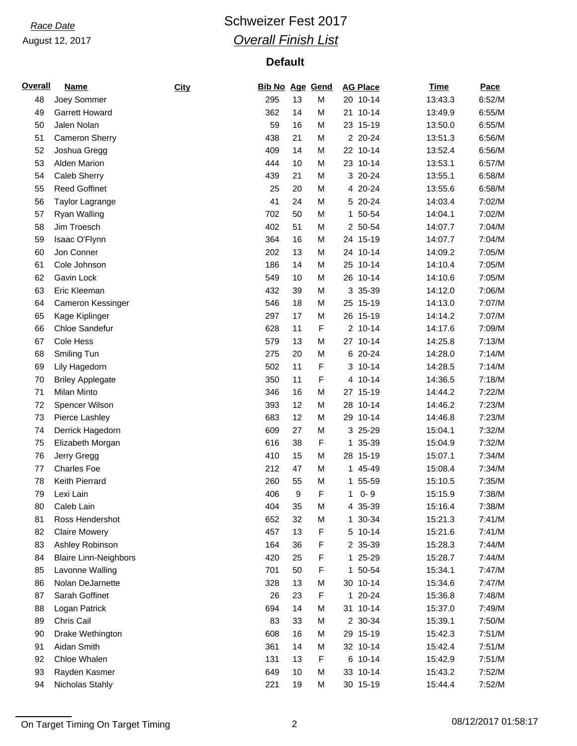## **Race Date Race Date Race Date Race Date Race Date Race 2017** *Overall Finish List*

| <b>Overall</b> | <b>Name</b>                  | City | <b>Bib No Age Gend</b> |    |   | <b>AG Place</b>         | <b>Time</b> | Pace   |
|----------------|------------------------------|------|------------------------|----|---|-------------------------|-------------|--------|
| 48             | Joey Sommer                  |      | 295                    | 13 | M | 20 10-14                | 13:43.3     | 6:52/M |
| 49             | <b>Garrett Howard</b>        |      | 362                    | 14 | M | 21 10-14                | 13:49.9     | 6:55/M |
| 50             | Jalen Nolan                  |      | 59                     | 16 | M | 23 15-19                | 13:50.0     | 6:55/M |
| 51             | <b>Cameron Sherry</b>        |      | 438                    | 21 | M | 2 20-24                 | 13:51.3     | 6:56/M |
| 52             | Joshua Gregg                 |      | 409                    | 14 | M | 22 10-14                | 13:52.4     | 6:56/M |
| 53             | <b>Alden Marion</b>          |      | 444                    | 10 | M | 23 10-14                | 13:53.1     | 6:57/M |
| 54             | Caleb Sherry                 |      | 439                    | 21 | M | 3 20-24                 | 13:55.1     | 6:58/M |
| 55             | <b>Reed Goffinet</b>         |      | 25                     | 20 | M | 4 20-24                 | 13:55.6     | 6:58/M |
| 56             | Taylor Lagrange              |      | 41                     | 24 | M | 5 20-24                 | 14:03.4     | 7:02/M |
| 57             | Ryan Walling                 |      | 702                    | 50 | M | 1 50-54                 | 14:04.1     | 7:02/M |
| 58             | Jim Troesch                  |      | 402                    | 51 | M | 2 50-54                 | 14:07.7     | 7:04/M |
| 59             | Isaac O'Flynn                |      | 364                    | 16 | M | 24 15-19                | 14:07.7     | 7:04/M |
| 60             | Jon Conner                   |      | 202                    | 13 | M | 24 10-14                | 14:09.2     | 7:05/M |
| 61             | Cole Johnson                 |      | 186                    | 14 | M | 25 10-14                | 14:10.4     | 7:05/M |
| 62             | Gavin Lock                   |      | 549                    | 10 | M | 26 10-14                | 14:10.6     | 7:05/M |
| 63             | Eric Kleeman                 |      | 432                    | 39 | M | 3 35-39                 | 14:12.0     | 7:06/M |
| 64             | Cameron Kessinger            |      | 546                    | 18 | M | 25 15-19                | 14:13.0     | 7:07/M |
| 65             | Kage Kiplinger               |      | 297                    | 17 | M | 26 15-19                | 14:14.2     | 7:07/M |
| 66             | Chloe Sandefur               |      | 628                    | 11 | F | 2 10-14                 | 14:17.6     | 7:09/M |
| 67             | <b>Cole Hess</b>             |      | 579                    | 13 | M | 27 10-14                | 14:25.8     | 7:13/M |
| 68             | Smiling Tun                  |      | 275                    | 20 | M | 6 20-24                 | 14:28.0     | 7:14/M |
| 69             | Lily Hagedorn                |      | 502                    | 11 | F | 3 10-14                 | 14:28.5     | 7:14/M |
| 70             | <b>Briley Applegate</b>      |      | 350                    | 11 | F | 4 10-14                 | 14:36.5     | 7:18/M |
| 71             | Milan Minto                  |      | 346                    | 16 | M | 27 15-19                | 14:44.2     | 7:22/M |
|                |                              |      |                        | 12 | M | 28 10-14                | 14:46.2     | 7:23/M |
| 72             | Spencer Wilson               |      | 393                    | 12 |   |                         |             |        |
| 73             | Pierce Lashley               |      | 683                    |    | M | 29 10-14                | 14:46.8     | 7:23/M |
| 74             | Derrick Hagedorn             |      | 609                    | 27 | M | 3 25-29                 | 15:04.1     | 7:32/M |
| 75             | Elizabeth Morgan             |      | 616                    | 38 | F | 35-39<br>1              | 15:04.9     | 7:32/M |
| 76             | Jerry Gregg                  |      | 410                    | 15 | M | 28 15-19                | 15:07.1     | 7:34/M |
| 77             | <b>Charles Foe</b>           |      | 212                    | 47 | M | 1 45-49                 | 15:08.4     | 7:34/M |
| 78             | Keith Pierrard               |      | 260                    | 55 | M | 1 55-59                 | 15:10.5     | 7:35/M |
| 79             | Lexi Lain                    |      | 406                    | 9  | F | $0 - 9$<br>$\mathbf{1}$ | 15:15.9     | 7:38/M |
| 80             | Caleb Lain                   |      | 404                    | 35 | M | 4 35-39                 | 15:16.4     | 7:38/M |
| 81             | Ross Hendershot              |      | 652                    | 32 | M | 1 30-34                 | 15:21.3     | 7:41/M |
| 82             | <b>Claire Mowery</b>         |      | 457                    | 13 | F | 5 10-14                 | 15:21.6     | 7:41/M |
| 83             | Ashley Robinson              |      | 164                    | 36 | F | 2 35-39                 | 15:28.3     | 7:44/M |
| 84             | <b>Blaire Linn-Neighbors</b> |      | 420                    | 25 | F | 1 25-29                 | 15:28.7     | 7:44/M |
| 85             | Lavonne Walling              |      | 701                    | 50 | F | 1 50-54                 | 15:34.1     | 7:47/M |
| 86             | Nolan DeJarnette             |      | 328                    | 13 | M | 30 10-14                | 15:34.6     | 7:47/M |
| 87             | Sarah Goffinet               |      | 26                     | 23 | F | 1 20-24                 | 15:36.8     | 7:48/M |
| 88             | Logan Patrick                |      | 694                    | 14 | M | 31 10-14                | 15:37.0     | 7:49/M |
| 89             | Chris Cail                   |      | 83                     | 33 | M | 2 30-34                 | 15:39.1     | 7:50/M |
| 90             | Drake Wethington             |      | 608                    | 16 | M | 29 15-19                | 15:42.3     | 7:51/M |
| 91             | Aidan Smith                  |      | 361                    | 14 | M | 32 10-14                | 15:42.4     | 7:51/M |
| 92             | Chloe Whalen                 |      | 131                    | 13 | F | 6 10-14                 | 15:42.9     | 7:51/M |
| 93             | Rayden Kasmer                |      | 649                    | 10 | M | 33 10-14                | 15:43.2     | 7:52/M |
| 94             | Nicholas Stahly              |      | 221                    | 19 | M | 30 15-19                | 15:44.4     | 7:52/M |

On Target Timing On Target Timing 2 08/12/2017 01:58:17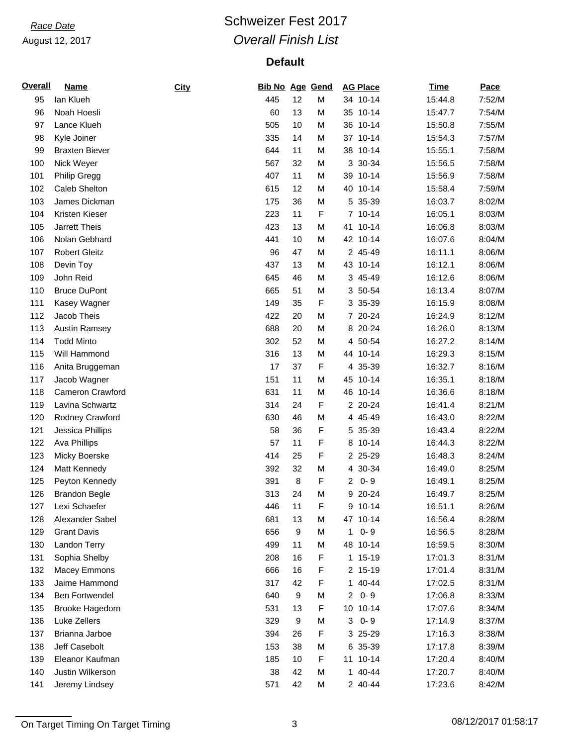## **Race Date Race Date Race Date Race Date Race Date Race Date Race Date Race Date Race 2017** *Overall Finish List*

| <b>Overall</b> | <u>Name</u>           | City | Bib No Age Gend |                  |   | <b>AG Place</b>           | <b>Time</b> | Pace   |
|----------------|-----------------------|------|-----------------|------------------|---|---------------------------|-------------|--------|
| 95             | lan Klueh             |      | 445             | 12               | M | 34 10-14                  | 15:44.8     | 7:52/M |
| 96             | Noah Hoesli           |      | 60              | 13               | M | 35 10-14                  | 15:47.7     | 7:54/M |
| 97             | Lance Klueh           |      | 505             | 10               | M | 36 10-14                  | 15:50.8     | 7:55/M |
| 98             | Kyle Joiner           |      | 335             | 14               | M | 37 10-14                  | 15:54.3     | 7:57/M |
| 99             | <b>Braxten Biever</b> |      | 644             | 11               | M | 38 10-14                  | 15:55.1     | 7:58/M |
| 100            | Nick Weyer            |      | 567             | 32               | M | 3 30-34                   | 15:56.5     | 7:58/M |
| 101            | <b>Philip Gregg</b>   |      | 407             | 11               | M | 39 10-14                  | 15:56.9     | 7:58/M |
| 102            | Caleb Shelton         |      | 615             | 12               | M | 40<br>$10 - 14$           | 15:58.4     | 7:59/M |
| 103            | James Dickman         |      | 175             | 36               | M | 5 35-39                   | 16:03.7     | 8:02/M |
| 104            | Kristen Kieser        |      | 223             | 11               | F | 7 10-14                   | 16:05.1     | 8:03/M |
| 105            | Jarrett Theis         |      | 423             | 13               | M | $10 - 14$<br>41           | 16:06.8     | 8:03/M |
| 106            | Nolan Gebhard         |      | 441             | 10               | M | 42 10-14                  | 16:07.6     | 8:04/M |
| 107            | <b>Robert Gleitz</b>  |      | 96              | 47               | M | 2 45-49                   | 16:11.1     | 8:06/M |
| 108            | Devin Toy             |      | 437             | 13               | M | 43 10-14                  | 16:12.1     | 8:06/M |
| 109            | John Reid             |      | 645             | 46               | M | 3 45-49                   | 16:12.6     | 8:06/M |
| 110            | <b>Bruce DuPont</b>   |      | 665             | 51               | M | 3 50-54                   | 16:13.4     | 8:07/M |
| 111            | Kasey Wagner          |      | 149             | 35               | F | 3 35-39                   | 16:15.9     | 8:08/M |
| 112            | Jacob Theis           |      | 422             | 20               | M | 7 20-24                   | 16:24.9     | 8:12/M |
| 113            | <b>Austin Ramsey</b>  |      | 688             | 20               | M | 8 20-24                   | 16:26.0     | 8:13/M |
| 114            | <b>Todd Minto</b>     |      | 302             | 52               | M | 4 50-54                   | 16:27.2     | 8:14/M |
| 115            | Will Hammond          |      | 316             | 13               | M | 44 10-14                  | 16:29.3     | 8:15/M |
| 116            | Anita Bruggeman       |      | 17              | 37               | F | 4 35-39                   | 16:32.7     | 8:16/M |
| 117            | Jacob Wagner          |      | 151             | 11               | M | 45 10-14                  | 16:35.1     | 8:18/M |
| 118            | Cameron Crawford      |      | 631             | 11               | M | 46 10-14                  | 16:36.6     | 8:18/M |
| 119            | Lavina Schwartz       |      | 314             | 24               | F | 2 20-24                   | 16:41.4     | 8:21/M |
| 120            |                       |      | 630             | 46               | M | 4 45-49                   | 16:43.0     | 8:22/M |
|                | Rodney Crawford       |      |                 |                  |   |                           |             |        |
| 121            | Jessica Phillips      |      | 58<br>57        | 36<br>11         | F | 5 35-39                   | 16:43.4     | 8:22/M |
| 122            | <b>Ava Phillips</b>   |      |                 |                  | F | $10 - 14$<br>8            | 16:44.3     | 8:22/M |
| 123            | Micky Boerske         |      | 414             | 25               | F | 2 25-29                   | 16:48.3     | 8:24/M |
| 124            | Matt Kennedy          |      | 392             | 32               | M | 4 30-34                   | 16:49.0     | 8:25/M |
| 125            | Peyton Kennedy        |      | 391             | 8                | F | $0 - 9$<br>$\overline{2}$ | 16:49.1     | 8:25/M |
| 126            | <b>Brandon Begle</b>  |      | 313             | 24               | M | 9 20-24                   | 16:49.7     | 8:25/M |
| 127            | Lexi Schaefer         |      | 446             | 11               | F | 9 10-14                   | 16:51.1     | 8:26/M |
| 128            | Alexander Sabel       |      | 681             | 13               | M | 47 10-14                  | 16:56.4     | 8:28/M |
| 129            | <b>Grant Davis</b>    |      | 656             | 9                | M | $0 - 9$<br>1              | 16:56.5     | 8:28/M |
| 130            | Landon Terry          |      | 499             | 11               | M | 48 10-14                  | 16:59.5     | 8:30/M |
| 131            | Sophia Shelby         |      | 208             | 16               | F | 1 15-19                   | 17:01.3     | 8:31/M |
| 132            | Macey Emmons          |      | 666             | 16               | F | 2 15-19                   | 17:01.4     | 8:31/M |
| 133            | Jaime Hammond         |      | 317             | 42               | F | 1 40-44                   | 17:02.5     | 8:31/M |
| 134            | <b>Ben Fortwendel</b> |      | 640             | $\boldsymbol{9}$ | M | $0 - 9$<br>$\overline{2}$ | 17:06.8     | 8:33/M |
| 135            | Brooke Hagedorn       |      | 531             | 13               | F | 10 10-14                  | 17:07.6     | 8:34/M |
| 136            | Luke Zellers          |      | 329             | 9                | M | $0 - 9$<br>3              | 17:14.9     | 8:37/M |
| 137            | Brianna Jarboe        |      | 394             | 26               | F | 3 25-29                   | 17:16.3     | 8:38/M |
| 138            | Jeff Casebolt         |      | 153             | 38               | M | 6 35-39                   | 17:17.8     | 8:39/M |
| 139            | Eleanor Kaufman       |      | 185             | 10               | F | 11 10-14                  | 17:20.4     | 8:40/M |
| 140            | Justin Wilkerson      |      | 38              | 42               | M | 1 40-44                   | 17:20.7     | 8:40/M |
| 141            | Jeremy Lindsey        |      | 571             | 42               | M | 2 40-44                   | 17:23.6     | 8:42/M |

On Target Timing On Target Timing 3 3 08/12/2017 01:58:17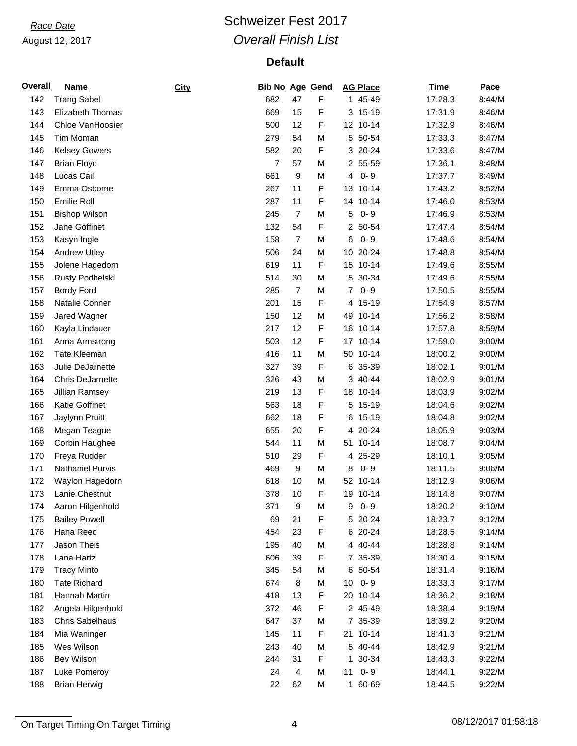## **Race Date Race Date Race Date Race Date Race Date Race 2017** *Overall Finish List*

| <b>Overall</b> | <b>Name</b>             | City | Bib No Age Gend |                |   | <b>AG Place</b> | <b>Time</b> | Pace   |
|----------------|-------------------------|------|-----------------|----------------|---|-----------------|-------------|--------|
| 142            | <b>Trang Sabel</b>      |      | 682             | 47             | F | 1 45-49         | 17:28.3     | 8:44/M |
| 143            | Elizabeth Thomas        |      | 669             | 15             | F | 3 15-19         | 17:31.9     | 8:46/M |
| 144            | Chloe VanHoosier        |      | 500             | 12             | F | 12 10-14        | 17:32.9     | 8:46/M |
| 145            | Tim Moman               |      | 279             | 54             | M | 5 50-54         | 17:33.3     | 8:47/M |
| 146            | <b>Kelsey Gowers</b>    |      | 582             | 20             | F | 3 20-24         | 17:33.6     | 8:47/M |
| 147            | <b>Brian Floyd</b>      |      | 7               | 57             | M | 2 55-59         | 17:36.1     | 8:48/M |
| 148            | Lucas Cail              |      | 661             | 9              | M | $0 - 9$<br>4    | 17:37.7     | 8:49/M |
| 149            | Emma Osborne            |      | 267             | 11             | F | $10 - 14$<br>13 | 17:43.2     | 8:52/M |
| 150            | Emilie Roll             |      | 287             | 11             | F | 14<br>$10 - 14$ | 17:46.0     | 8:53/M |
| 151            | <b>Bishop Wilson</b>    |      | 245             | $\overline{7}$ | M | $0 - 9$<br>5    | 17:46.9     | 8:53/M |
| 152            | Jane Goffinet           |      | 132             | 54             | F | 2 50-54         | 17:47.4     | 8:54/M |
| 153            | Kasyn Ingle             |      | 158             | $\overline{7}$ | M | $0 - 9$<br>6    | 17:48.6     | 8:54/M |
| 154            | <b>Andrew Utley</b>     |      | 506             | 24             | M | $20 - 24$<br>10 | 17:48.8     | 8:54/M |
| 155            | Jolene Hagedorn         |      | 619             | 11             | F | 15 10-14        | 17:49.6     | 8:55/M |
| 156            | Rusty Podbelski         |      | 514             | 30             | M | 5 30-34         | 17:49.6     | 8:55/M |
| 157            | <b>Bordy Ford</b>       |      | 285             | $\overline{7}$ | M | $0 - 9$<br>7    | 17:50.5     | 8:55/M |
| 158            | Natalie Conner          |      | 201             | 15             | F | 4 15-19         | 17:54.9     | 8:57/M |
| 159            | Jared Wagner            |      | 150             | 12             | M | 49 10-14        | 17:56.2     | 8:58/M |
| 160            | Kayla Lindauer          |      | 217             | 12             | F | 16 10-14        | 17:57.8     | 8:59/M |
| 161            | Anna Armstrong          |      | 503             | 12             | F | 17<br>$10 - 14$ | 17:59.0     | 9:00/M |
| 162            | <b>Tate Kleeman</b>     |      | 416             | 11             | M | 50 10-14        | 18:00.2     | 9:00/M |
| 163            | Julie DeJarnette        |      | 327             | 39             | F | 6 35-39         | 18:02.1     | 9:01/M |
| 164            | <b>Chris DeJarnette</b> |      | 326             | 43             | M | 3 40-44         | 18:02.9     | 9:01/M |
| 165            | Jillian Ramsey          |      | 219             | 13             | F | 18 10-14        | 18:03.9     | 9:02/M |
| 166            | Katie Goffinet          |      | 563             | 18             | F | 5 15-19         | 18:04.6     | 9:02/M |
| 167            | Jaylynn Pruitt          |      | 662             | 18             | F | 6 15-19         | 18:04.8     | 9:02/M |
| 168            | Megan Teague            |      | 655             | 20             | F | 4 20-24         | 18:05.9     | 9:03/M |
| 169            | Corbin Haughee          |      | 544             | 11             | M | $10 - 14$<br>51 | 18:08.7     | 9:04/M |
| 170            | Freya Rudder            |      | 510             | 29             | F | 4 25-29         | 18:10.1     | 9:05/M |
| 171            | <b>Nathaniel Purvis</b> |      | 469             | 9              | M | $0 - 9$<br>8    | 18:11.5     | 9:06/M |
| 172            | Waylon Hagedorn         |      | 618             | 10             | M | 52 10-14        | 18:12.9     | 9:06/M |
| 173            | Lanie Chestnut          |      | 378             | 10             | F | 19 10-14        | 18:14.8     | 9:07/M |
| 174            | Aaron Hilgenhold        |      | 371             | 9              | M | 9<br>$0 - 9$    | 18:20.2     | 9:10/M |
| 175            | <b>Bailey Powell</b>    |      | 69              | 21             | F | 5 20-24         | 18:23.7     | 9:12/M |
| 176            | Hana Reed               |      | 454             | 23             | F | 6 20-24         | 18:28.5     | 9:14/M |
| 177            | Jason Theis             |      | 195             | 40             | M | 4 40-44         | 18:28.8     | 9:14/M |
| 178            | Lana Hartz              |      | 606             | 39             | F | 7 35-39         | 18:30.4     | 9:15/M |
| 179            | <b>Tracy Minto</b>      |      | 345             | 54             | M | 6 50-54         | 18:31.4     | 9:16/M |
| 180            | <b>Tate Richard</b>     |      | 674             | 8              | M | $0 - 9$<br>10   | 18:33.3     | 9:17/M |
| 181            | Hannah Martin           |      | 418             | 13             | F | $10 - 14$<br>20 | 18:36.2     | 9:18/M |
| 182            | Angela Hilgenhold       |      | 372             | 46             | F | 2 45-49         | 18:38.4     | 9:19/M |
| 183            | <b>Chris Sabelhaus</b>  |      | 647             | 37             | M | 7 35-39         | 18:39.2     | 9:20/M |
| 184            | Mia Waninger            |      | 145             | 11             | F | 21 10-14        | 18:41.3     | 9:21/M |
| 185            | Wes Wilson              |      | 243             | 40             | M | 5 40-44         | 18:42.9     | 9:21/M |
| 186            | Bev Wilson              |      | 244             | 31             | F | 1 30-34         | 18:43.3     | 9:22/M |
| 187            | Luke Pomeroy            |      | 24              | $\overline{4}$ | M | $0 - 9$<br>11   | 18:44.1     | 9:22/M |
| 188            | <b>Brian Herwig</b>     |      | 22              | 62             | M | 1 60-69         | 18:44.5     | 9:22/M |

On Target Timing On Target Timing 2001 12/2017 01:58:18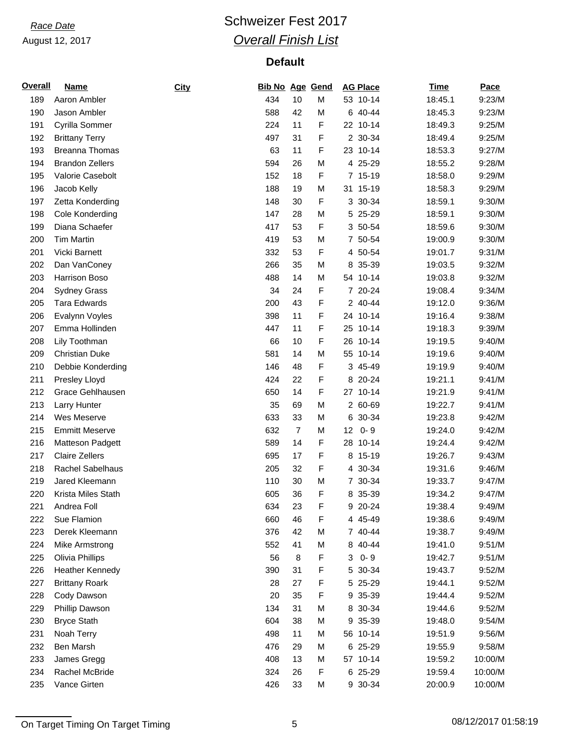## **Race Date Race Date Race Date Race Date Race Date Race 2017** *Overall Finish List*

| <b>Overall</b> | Name                    | City | <b>Bib No Age Gend</b> |                |   | <b>AG Place</b>            | <b>Time</b> | Pace    |
|----------------|-------------------------|------|------------------------|----------------|---|----------------------------|-------------|---------|
| 189            | Aaron Ambler            |      | 434                    | 10             | M | 53 10-14                   | 18:45.1     | 9:23/M  |
| 190            | Jason Ambler            |      | 588                    | 42             | M | 6 40-44                    | 18:45.3     | 9:23/M  |
| 191            | Cyrilla Sommer          |      | 224                    | 11             | F | 22 10-14                   | 18:49.3     | 9:25/M  |
| 192            | <b>Brittany Terry</b>   |      | 497                    | 31             | F | 2 30-34                    | 18:49.4     | 9:25/M  |
| 193            | <b>Breanna Thomas</b>   |      | 63                     | 11             | F | 23 10-14                   | 18:53.3     | 9:27/M  |
| 194            | <b>Brandon Zellers</b>  |      | 594                    | 26             | M | 4 25-29                    | 18:55.2     | 9:28/M  |
| 195            | Valorie Casebolt        |      | 152                    | 18             | F | 7 15-19                    | 18:58.0     | 9:29/M  |
| 196            | Jacob Kelly             |      | 188                    | 19             | M | 31 15-19                   | 18:58.3     | 9:29/M  |
| 197            | Zetta Konderding        |      | 148                    | 30             | F | 3 30-34                    | 18:59.1     | 9:30/M  |
| 198            | Cole Konderding         |      | 147                    | 28             | M | 5 25-29                    | 18:59.1     | 9:30/M  |
| 199            | Diana Schaefer          |      | 417                    | 53             | F | 3 50-54                    | 18:59.6     | 9:30/M  |
| 200            | <b>Tim Martin</b>       |      | 419                    | 53             | M | 7 50-54                    | 19:00.9     | 9:30/M  |
| 201            | Vicki Barnett           |      | 332                    | 53             | F | 4 50-54                    | 19:01.7     | 9:31/M  |
| 202            | Dan VanConey            |      | 266                    | 35             | M | 8 35-39                    | 19:03.5     | 9:32/M  |
| 203            | Harrison Boso           |      | 488                    | 14             | M | 54 10-14                   | 19:03.8     | 9:32/M  |
| 204            | <b>Sydney Grass</b>     |      | 34                     | 24             | F | 7 20-24                    | 19:08.4     | 9:34/M  |
| 205            | <b>Tara Edwards</b>     |      | 200                    | 43             | F | 2 40-44                    | 19:12.0     | 9:36/M  |
| 206            | Evalynn Voyles          |      | 398                    | 11             | F | 24 10-14                   | 19:16.4     | 9:38/M  |
| 207            | Emma Hollinden          |      | 447                    | 11             | F | 25 10-14                   | 19:18.3     | 9:39/M  |
| 208            | Lily Toothman           |      | 66                     | 10             | F | $10 - 14$<br>26            | 19:19.5     | 9:40/M  |
| 209            | <b>Christian Duke</b>   |      | 581                    | 14             | M | 55 10-14                   | 19:19.6     | 9:40/M  |
| 210            | Debbie Konderding       |      | 146                    | 48             | F | 3 45-49                    | 19:19.9     | 9:40/M  |
| 211            | Presley Lloyd           |      | 424                    | 22             | F | 8 20-24                    | 19:21.1     | 9:41/M  |
| 212            | Grace Gehlhausen        |      | 650                    | 14             | F | 27 10-14                   | 19:21.9     | 9:41/M  |
| 213            | Larry Hunter            |      | 35                     | 69             | M | 2 60-69                    | 19:22.7     | 9:41/M  |
| 214            | Wes Meserve             |      | 633                    | 33             | M | 6 30-34                    | 19:23.8     | 9:42/M  |
| 215            | <b>Emmitt Meserve</b>   |      | 632                    | $\overline{7}$ | M | $0 - 9$<br>12 <sub>2</sub> | 19:24.0     | 9:42/M  |
| 216            | Matteson Padgett        |      | 589                    | 14             | F | $10 - 14$<br>28            | 19:24.4     | 9:42/M  |
| 217            | <b>Claire Zellers</b>   |      | 695                    | 17             | F | 8 15-19                    | 19:26.7     | 9:43/M  |
| 218            | <b>Rachel Sabelhaus</b> |      | 205                    | 32             | F | 4 30-34                    | 19:31.6     | 9:46/M  |
| 219            | Jared Kleemann          |      | 110                    | 30             | M | 7 30-34                    | 19:33.7     | 9:47/M  |
| 220            | Krista Miles Stath      |      | 605                    | 36             | F | 8 35-39                    | 19:34.2     | 9:47/M  |
| 221            | Andrea Foll             |      | 634                    | 23             | F | 9 20-24                    | 19:38.4     | 9:49/M  |
| 222            | Sue Flamion             |      | 660                    | 46             | F | 4 45-49                    | 19:38.6     | 9:49/M  |
| 223            | Derek Kleemann          |      | 376                    | 42             | M | 7 40-44                    | 19:38.7     | 9:49/M  |
| 224            | Mike Armstrong          |      | 552                    | 41             | M | 8 40-44                    | 19:41.0     | 9:51/M  |
| 225            | Olivia Phillips         |      | 56                     | 8              | F | $0 - 9$<br>3               | 19:42.7     | 9:51/M  |
| 226            | <b>Heather Kennedy</b>  |      | 390                    | 31             | F | 5 30-34                    | 19:43.7     | 9:52/M  |
| 227            | <b>Brittany Roark</b>   |      | 28                     | 27             | F | 5 25-29                    | 19:44.1     | 9:52/M  |
| 228            | Cody Dawson             |      | 20                     | 35             | F | 35-39<br>9                 | 19:44.4     | 9:52/M  |
| 229            | Phillip Dawson          |      | 134                    | 31             | M | 8 30-34                    | 19:44.6     | 9:52/M  |
| 230            | <b>Bryce Stath</b>      |      | 604                    | 38             | M | 35-39<br>9                 | 19:48.0     | 9:54/M  |
| 231            | Noah Terry              |      | 498                    | 11             | M | 56 10-14                   | 19:51.9     | 9:56/M  |
| 232            | Ben Marsh               |      | 476                    | 29             | M | 6 25-29                    | 19:55.9     | 9:58/M  |
| 233            | James Gregg             |      | 408                    | 13             | M | 57 10-14                   | 19:59.2     | 10:00/M |
| 234            | Rachel McBride          |      | 324                    | 26             | F | 6 25-29                    | 19:59.4     | 10:00/M |
| 235            | Vance Girten            |      | 426                    | 33             | M | 9 30-34                    | 20:00.9     | 10:00/M |

On Target Timing On Target Timing 6 08/12/2017 01:58:19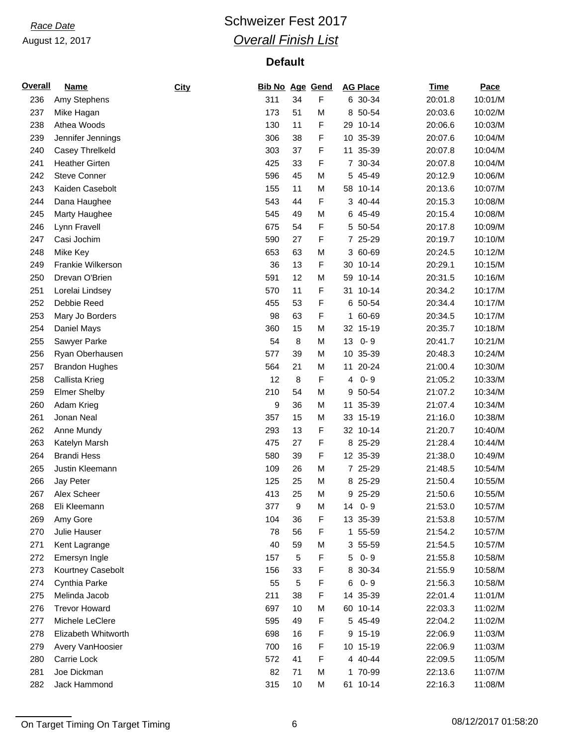## **Race Date Race Date Race Date Race Date Race Date Race 2017** *Overall Finish List*

| <b>Overall</b> | <b>Name</b>           | City | <b>Bib No Age Gend</b> |    |   | <b>AG Place</b> | <b>Time</b> | Pace    |
|----------------|-----------------------|------|------------------------|----|---|-----------------|-------------|---------|
| 236            | Amy Stephens          |      | 311                    | 34 | F | 6 30-34         | 20:01.8     | 10:01/M |
| 237            | Mike Hagan            |      | 173                    | 51 | M | 8 50-54         | 20:03.6     | 10:02/M |
| 238            | Athea Woods           |      | 130                    | 11 | F | 29 10-14        | 20:06.6     | 10:03/M |
| 239            | Jennifer Jennings     |      | 306                    | 38 | F | 35-39<br>10     | 20:07.6     | 10:04/M |
| 240            | Casey Threlkeld       |      | 303                    | 37 | F | 11 35-39        | 20:07.8     | 10:04/M |
| 241            | <b>Heather Girten</b> |      | 425                    | 33 | F | 7 30-34         | 20:07.8     | 10:04/M |
| 242            | <b>Steve Conner</b>   |      | 596                    | 45 | M | 5 45-49         | 20:12.9     | 10:06/M |
| 243            | Kaiden Casebolt       |      | 155                    | 11 | M | 58 10-14        | 20:13.6     | 10:07/M |
| 244            | Dana Haughee          |      | 543                    | 44 | F | 3 40-44         | 20:15.3     | 10:08/M |
| 245            | Marty Haughee         |      | 545                    | 49 | M | 6 45-49         | 20:15.4     | 10:08/M |
| 246            | Lynn Fravell          |      | 675                    | 54 | F | 5 50-54         | 20:17.8     | 10:09/M |
| 247            | Casi Jochim           |      | 590                    | 27 | F | 7 25-29         | 20:19.7     | 10:10/M |
| 248            | Mike Key              |      | 653                    | 63 | M | 3 60-69         | 20:24.5     | 10:12/M |
| 249            | Frankie Wilkerson     |      | 36                     | 13 | F | 30 10-14        | 20:29.1     | 10:15/M |
| 250            | Drevan O'Brien        |      | 591                    | 12 | M | 59<br>$10 - 14$ | 20:31.5     | 10:16/M |
| 251            | Lorelai Lindsey       |      | 570                    | 11 | F | $10 - 14$<br>31 | 20:34.2     | 10:17/M |
| 252            | Debbie Reed           |      | 455                    | 53 | F | 6 50-54         | 20:34.4     | 10:17/M |
| 253            | Mary Jo Borders       |      | 98                     | 63 | F | 1 60-69         | 20:34.5     | 10:17/M |
| 254            | Daniel Mays           |      | 360                    | 15 | M | 32 15-19        | 20:35.7     | 10:18/M |
| 255            | Sawyer Parke          |      | 54                     | 8  | M | $0 - 9$<br>13   | 20:41.7     | 10:21/M |
| 256            | Ryan Oberhausen       |      | 577                    | 39 | M | 10 35-39        | 20:48.3     | 10:24/M |
| 257            | <b>Brandon Hughes</b> |      | 564                    | 21 | M | 11 20-24        | 21:00.4     | 10:30/M |
| 258            | Callista Krieg        |      | 12                     | 8  | F | $0 - 9$<br>4    | 21:05.2     | 10:33/M |
| 259            | <b>Elmer Shelby</b>   |      | 210                    | 54 | M | 50-54<br>9      | 21:07.2     | 10:34/M |
| 260            | Adam Krieg            |      | 9                      | 36 | M | 11<br>35-39     | 21:07.4     | 10:34/M |
| 261            | Jonan Neal            |      | 357                    | 15 | M | 33 15-19        | 21:16.0     | 10:38/M |
| 262            | Anne Mundy            |      | 293                    | 13 | F | 32 10-14        | 21:20.7     | 10:40/M |
| 263            | Katelyn Marsh         |      | 475                    | 27 | F | 8 25-29         | 21:28.4     | 10:44/M |
| 264            | <b>Brandi Hess</b>    |      | 580                    | 39 | F | 12 35-39        | 21:38.0     | 10:49/M |
| 265            | Justin Kleemann       |      | 109                    | 26 | M | 7 25-29         | 21:48.5     | 10:54/M |
| 266            | Jay Peter             |      | 125                    | 25 | M | 8 25-29         | 21:50.4     | 10:55/M |
| 267            | Alex Scheer           |      | 413                    | 25 | M | 9 25-29         | 21:50.6     | 10:55/M |
| 268            | Eli Kleemann          |      | 377                    | 9  | M | 14<br>$0 - 9$   | 21:53.0     | 10:57/M |
| 269            | Amy Gore              |      | 104                    | 36 | F | 13 35-39        | 21:53.8     | 10:57/M |
| 270            | Julie Hauser          |      | 78                     | 56 | F | 1 55-59         | 21:54.2     | 10:57/M |
| 271            | Kent Lagrange         |      | 40                     | 59 | M | 3 55-59         | 21:54.5     | 10:57/M |
| 272            | Emersyn Ingle         |      | 157                    | 5  | F | $0 - 9$<br>5    | 21:55.8     | 10:58/M |
| 273            | Kourtney Casebolt     |      | 156                    | 33 | F | 8 30-34         | 21:55.9     | 10:58/M |
| 274            | Cynthia Parke         |      | 55                     | 5  | F | $0 - 9$<br>6    | 21:56.3     | 10:58/M |
| 275            | Melinda Jacob         |      | 211                    | 38 | F | 35-39<br>14     | 22:01.4     | 11:01/M |
| 276            | <b>Trevor Howard</b>  |      | 697                    | 10 | М | 60 10-14        | 22:03.3     | 11:02/M |
| 277            | Michele LeClere       |      | 595                    | 49 | F | 5 45-49         | 22:04.2     | 11:02/M |
| 278            | Elizabeth Whitworth   |      | 698                    | 16 | F | 9 15-19         | 22:06.9     | 11:03/M |
| 279            | Avery VanHoosier      |      | 700                    | 16 | F | 10 15-19        | 22:06.9     | 11:03/M |
| 280            | Carrie Lock           |      | 572                    | 41 | F | 4 40-44         | 22:09.5     | 11:05/M |
| 281            | Joe Dickman           |      | 82                     | 71 | M | 1 70-99         | 22:13.6     | 11:07/M |
| 282            | Jack Hammond          |      | 315                    | 10 | М | 61 10-14        | 22:16.3     | 11:08/M |

On Target Timing On Target Timing and the contract of the contract of the contract of the contract of the contract of the contract of the contract of the contract of the contract of the contract of the contract of the cont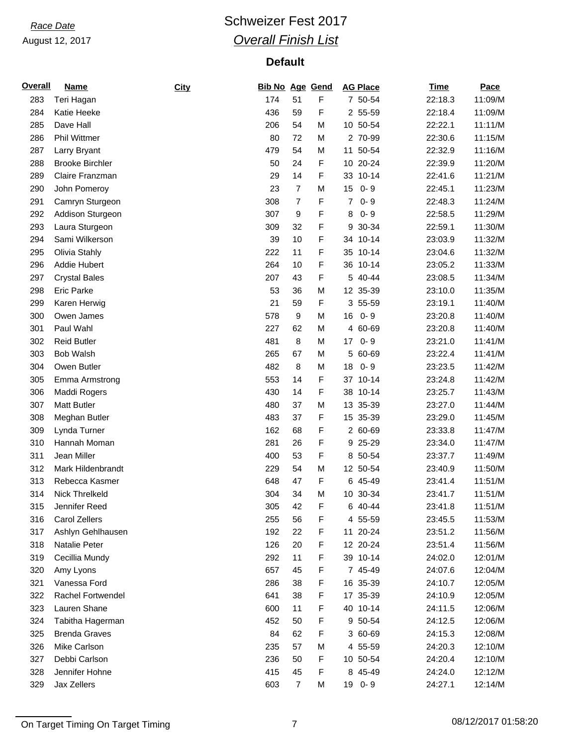# **Race Date Race Date Race Date Race Date Race Date Race 2017** *Overall Finish List*

| <b>Overall</b> | <b>Name</b>              | City | <b>Bib No Age Gend</b> |                |   | <b>AG Place</b> | <b>Time</b> | Pace    |
|----------------|--------------------------|------|------------------------|----------------|---|-----------------|-------------|---------|
| 283            | Teri Hagan               |      | 174                    | 51             | F | 7 50-54         | 22:18.3     | 11:09/M |
| 284            | Katie Heeke              |      | 436                    | 59             | F | 2 55-59         | 22:18.4     | 11:09/M |
| 285            | Dave Hall                |      | 206                    | 54             | M | 10 50-54        | 22:22.1     | 11:11/M |
| 286            | <b>Phil Wittmer</b>      |      | 80                     | 72             | M | 2 70-99         | 22:30.6     | 11:15/M |
| 287            | Larry Bryant             |      | 479                    | 54             | M | 11 50-54        | 22:32.9     | 11:16/M |
| 288            | <b>Brooke Birchler</b>   |      | 50                     | 24             | F | 10 20-24        | 22:39.9     | 11:20/M |
| 289            | Claire Franzman          |      | 29                     | 14             | F | 33 10-14        | 22:41.6     | 11:21/M |
| 290            | John Pomeroy             |      | 23                     | $\overline{7}$ | M | 15<br>$0 - 9$   | 22:45.1     | 11:23/M |
| 291            | Camryn Sturgeon          |      | 308                    | $\overline{7}$ | F | $0 - 9$<br>7    | 22:48.3     | 11:24/M |
| 292            | Addison Sturgeon         |      | 307                    | 9              | F | $0 - 9$<br>8    | 22:58.5     | 11:29/M |
| 293            | Laura Sturgeon           |      | 309                    | 32             | F | 30-34<br>9      | 22:59.1     | 11:30/M |
| 294            | Sami Wilkerson           |      | 39                     | 10             | F | $10 - 14$<br>34 | 23:03.9     | 11:32/M |
| 295            | Olivia Stahly            |      | 222                    | 11             | F | $10 - 14$<br>35 | 23:04.6     | 11:32/M |
| 296            | <b>Addie Hubert</b>      |      | 264                    | 10             | F | 36 10-14        | 23:05.2     | 11:33/M |
| 297            | <b>Crystal Bales</b>     |      | 207                    | 43             | F | 5 40-44         | 23:08.5     | 11:34/M |
| 298            | <b>Eric Parke</b>        |      | 53                     | 36             | M | 12 35-39        | 23:10.0     | 11:35/M |
| 299            | Karen Herwig             |      | 21                     | 59             | F | 3 55-59         | 23:19.1     | 11:40/M |
| 300            | Owen James               |      | 578                    | 9              | M | $0 - 9$<br>16   | 23:20.8     | 11:40/M |
| 301            | Paul Wahl                |      | 227                    | 62             | M | 4 60-69         | 23:20.8     | 11:40/M |
| 302            | <b>Reid Butler</b>       |      | 481                    | 8              | M | $0 - 9$<br>17   | 23:21.0     | 11:41/M |
| 303            | <b>Bob Walsh</b>         |      | 265                    | 67             | M | 5<br>60-69      | 23:22.4     | 11:41/M |
| 304            | Owen Butler              |      | 482                    | 8              | M | $0 - 9$<br>18   | 23:23.5     | 11:42/M |
| 305            | Emma Armstrong           |      | 553                    | 14             | F | 37 10-14        | 23:24.8     | 11:42/M |
| 306            | Maddi Rogers             |      | 430                    | 14             | F | $10 - 14$<br>38 | 23:25.7     | 11:43/M |
| 307            | Matt Butler              |      | 480                    | 37             | M | 13 35-39        | 23:27.0     | 11:44/M |
| 308            | Meghan Butler            |      | 483                    | 37             | F | 15 35-39        | 23:29.0     | 11:45/M |
| 309            | Lynda Turner             |      | 162                    | 68             | F | 2 60-69         | 23:33.8     | 11:47/M |
|                |                          |      |                        |                |   |                 |             |         |
| 310            | Hannah Moman             |      | 281                    | 26             | F | 25-29<br>9      | 23:34.0     | 11:47/M |
| 311            | Jean Miller              |      | 400                    | 53             | F | 8 50-54         | 23:37.7     | 11:49/M |
| 312            | Mark Hildenbrandt        |      | 229                    | 54             | M | 12 50-54        | 23:40.9     | 11:50/M |
| 313            | Rebecca Kasmer           |      | 648                    | 47             | F | 6 45-49         | 23:41.4     | 11:51/M |
| 314            | Nick Threlkeld           |      | 304                    | 34             | M | 10 30-34        | 23:41.7     | 11:51/M |
| 315            | Jennifer Reed            |      | 305                    | 42             | F | 6 40-44         | 23:41.8     | 11:51/M |
| 316            | Carol Zellers            |      | 255                    | 56             | F | 4 55-59         | 23:45.5     | 11:53/M |
| 317            | Ashlyn Gehlhausen        |      | 192                    | 22             | F | 11 20-24        | 23:51.2     | 11:56/M |
| 318            | Natalie Peter            |      | 126                    | 20             | F | 12 20-24        | 23:51.4     | 11:56/M |
| 319            | Cecillia Mundy           |      | 292                    | 11             | F | 39 10-14        | 24:02.0     | 12:01/M |
| 320            | Amy Lyons                |      | 657                    | 45             | F | 7 45-49         | 24:07.6     | 12:04/M |
| 321            | Vanessa Ford             |      | 286                    | 38             | F | 16 35-39        | 24:10.7     | 12:05/M |
| 322            | <b>Rachel Fortwendel</b> |      | 641                    | 38             | F | 17 35-39        | 24:10.9     | 12:05/M |
| 323            | Lauren Shane             |      | 600                    | 11             | F | 40 10-14        | 24:11.5     | 12:06/M |
| 324            | Tabitha Hagerman         |      | 452                    | 50             | F | 9 50-54         | 24:12.5     | 12:06/M |
| 325            | <b>Brenda Graves</b>     |      | 84                     | 62             | F | 3 60-69         | 24:15.3     | 12:08/M |
| 326            | Mike Carlson             |      | 235                    | 57             | M | 4 55-59         | 24:20.3     | 12:10/M |
| 327            | Debbi Carlson            |      | 236                    | 50             | F | 10 50-54        | 24:20.4     | 12:10/M |
| 328            | Jennifer Hohne           |      | 415                    | 45             | F | 8 45-49         | 24:24.0     | 12:12/M |
| 329            | Jax Zellers              |      | 603                    | $\overline{7}$ | M | 19 0-9          | 24:27.1     | 12:14/M |

On Target Timing On Target Timing 2001 12/2017 01:58:20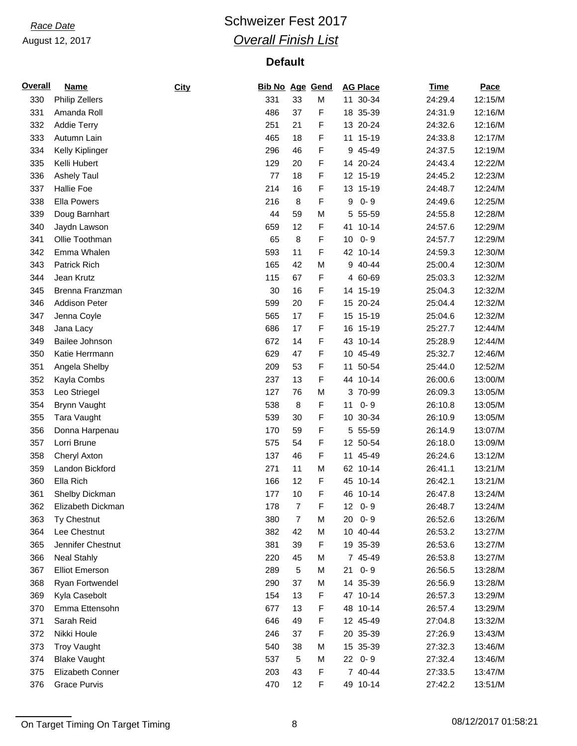## **Race Date Race Date Race Date Race Date Race Date Race 2017** *Overall Finish List*

| <b>Overall</b> | <b>Name</b>           | City | <b>Bib No Age Gend</b> |                  |   | <b>AG Place</b> | <b>Time</b> | Pace    |
|----------------|-----------------------|------|------------------------|------------------|---|-----------------|-------------|---------|
| 330            | <b>Philip Zellers</b> |      | 331                    | 33               | M | 11 30-34        | 24:29.4     | 12:15/M |
| 331            | Amanda Roll           |      | 486                    | 37               | F | 18 35-39        | 24:31.9     | 12:16/M |
| 332            | <b>Addie Terry</b>    |      | 251                    | 21               | F | 13 20-24        | 24:32.6     | 12:16/M |
| 333            | Autumn Lain           |      | 465                    | 18               | F | $15-19$<br>11   | 24:33.8     | 12:17/M |
| 334            | Kelly Kiplinger       |      | 296                    | 46               | F | 9 45-49         | 24:37.5     | 12:19/M |
| 335            | Kelli Hubert          |      | 129                    | 20               | F | 14 20-24        | 24:43.4     | 12:22/M |
| 336            | <b>Ashely Taul</b>    |      | 77                     | 18               | F | 12 15-19        | 24:45.2     | 12:23/M |
| 337            | <b>Hallie Foe</b>     |      | 214                    | 16               | F | 13 15-19        | 24:48.7     | 12:24/M |
| 338            | <b>Ella Powers</b>    |      | 216                    | 8                | F | $0 - 9$<br>9    | 24:49.6     | 12:25/M |
| 339            | Doug Barnhart         |      | 44                     | 59               | M | 5 55-59         | 24:55.8     | 12:28/M |
| 340            | Jaydn Lawson          |      | 659                    | 12               | F | $10 - 14$<br>41 | 24:57.6     | 12:29/M |
| 341            | Ollie Toothman        |      | 65                     | 8                | F | $0 - 9$<br>10   | 24:57.7     | 12:29/M |
| 342            | Emma Whalen           |      | 593                    | 11               | F | 42 10-14        | 24:59.3     | 12:30/M |
| 343            | Patrick Rich          |      | 165                    | 42               | M | 9 40-44         | 25:00.4     | 12:30/M |
| 344            | Jean Krutz            |      | 115                    | 67               | F | 4 60-69         | 25:03.3     | 12:32/M |
| 345            | Brenna Franzman       |      | 30                     | 16               | F | 15-19<br>14     | 25:04.3     | 12:32/M |
| 346            | <b>Addison Peter</b>  |      | 599                    | 20               | F | 15 20-24        | 25:04.4     | 12:32/M |
| 347            | Jenna Coyle           |      | 565                    | 17               | F | 15 15-19        | 25:04.6     | 12:32/M |
| 348            | Jana Lacy             |      | 686                    | 17               | F | 16 15-19        | 25:27.7     | 12:44/M |
| 349            | Bailee Johnson        |      | 672                    | 14               | F | 43 10-14        | 25:28.9     | 12:44/M |
| 350            | Katie Herrmann        |      | 629                    | 47               | F | 10 45-49        | 25:32.7     | 12:46/M |
| 351            | Angela Shelby         |      | 209                    | 53               | F | 11 50-54        | 25:44.0     | 12:52/M |
| 352            | Kayla Combs           |      | 237                    | 13               | F | 44 10-14        | 26:00.6     | 13:00/M |
| 353            | Leo Striegel          |      | 127                    | 76               | M | 3 70-99         | 26:09.3     | 13:05/M |
| 354            | <b>Brynn Vaught</b>   |      | 538                    | 8                | F | $0 - 9$<br>11   | 26:10.8     | 13:05/M |
| 355            |                       |      | 539                    | 30               | F | 10 30-34        | 26:10.9     | 13:05/M |
|                | Tara Vaught           |      |                        |                  |   |                 |             | 13:07/M |
| 356            | Donna Harpenau        |      | 170                    | 59               | F | 5 55-59         | 26:14.9     |         |
| 357            | Lorri Brune           |      | 575                    | 54               | F | 12 50-54        | 26:18.0     | 13:09/M |
| 358            | Cheryl Axton          |      | 137                    | 46               | F | 11 45-49        | 26:24.6     | 13:12/M |
| 359            | Landon Bickford       |      | 271                    | 11               | M | 62 10-14        | 26:41.1     | 13:21/M |
| 360            | Ella Rich             |      | 166                    | 12               | F | 45 10-14        | 26:42.1     | 13:21/M |
| 361            | Shelby Dickman        |      | 177                    | 10               | F | 46 10-14        | 26:47.8     | 13:24/M |
| 362            | Elizabeth Dickman     |      | 178                    | $\boldsymbol{7}$ | F | 12 0-9          | 26:48.7     | 13:24/M |
| 363            | Ty Chestnut           |      | 380                    | 7                | M | $0 - 9$<br>20   | 26:52.6     | 13:26/M |
| 364            | Lee Chestnut          |      | 382                    | 42               | M | 10 40-44        | 26:53.2     | 13:27/M |
| 365            | Jennifer Chestnut     |      | 381                    | 39               | F | 19 35-39        | 26:53.6     | 13:27/M |
| 366            | <b>Neal Stahly</b>    |      | 220                    | 45               | M | 7 45-49         | 26:53.8     | 13:27/M |
| 367            | <b>Elliot Emerson</b> |      | 289                    | 5                | M | $0 - 9$<br>21   | 26:56.5     | 13:28/M |
| 368            | Ryan Fortwendel       |      | 290                    | 37               | M | 14 35-39        | 26:56.9     | 13:28/M |
| 369            | Kyla Casebolt         |      | 154                    | 13               | F | 47 10-14        | 26:57.3     | 13:29/M |
| 370            | Emma Ettensohn        |      | 677                    | 13               | F | 48 10-14        | 26:57.4     | 13:29/M |
| 371            | Sarah Reid            |      | 646                    | 49               | F | 12 45-49        | 27:04.8     | 13:32/M |
| 372            | Nikki Houle           |      | 246                    | 37               | F | 20 35-39        | 27:26.9     | 13:43/M |
| 373            | <b>Troy Vaught</b>    |      | 540                    | 38               | M | 15 35-39        | 27:32.3     | 13:46/M |
| 374            | <b>Blake Vaught</b>   |      | 537                    | 5                | M | 22 0-9          | 27:32.4     | 13:46/M |
| 375            | Elizabeth Conner      |      | 203                    | 43               | F | 7 40-44         | 27:33.5     | 13:47/M |
| 376            | Grace Purvis          |      | 470                    | 12               | F | 49 10-14        | 27:42.2     | 13:51/M |

On Target Timing On Target Timing 8 08/12/2017 01:58:21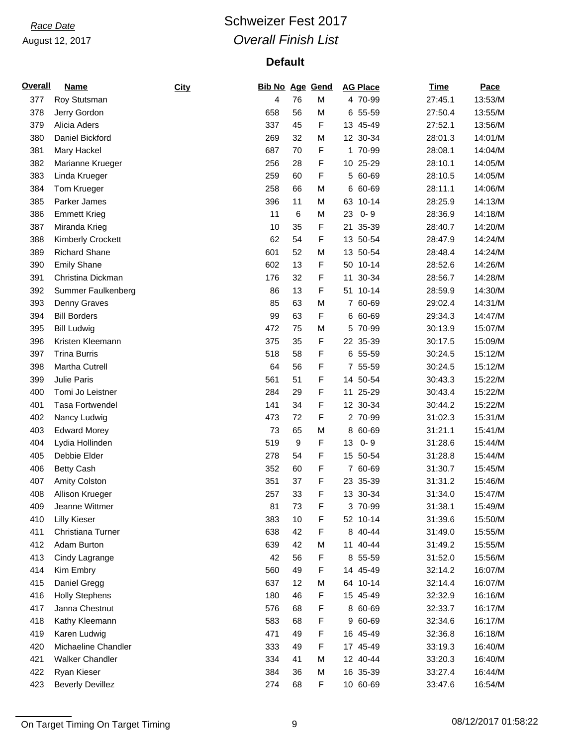## **Race Date Race Date Race Date Race Date Race Date Race 2017** *Overall Finish List*

| <b>Overall</b> | <u>Name</u>             | City | <b>Bib No Age Gend</b> |    |   | <b>AG Place</b> | <b>Time</b> | Pace    |
|----------------|-------------------------|------|------------------------|----|---|-----------------|-------------|---------|
| 377            | Roy Stutsman            |      | 4                      | 76 | M | 4 70-99         | 27:45.1     | 13:53/M |
| 378            | Jerry Gordon            |      | 658                    | 56 | M | 6 55-59         | 27:50.4     | 13:55/M |
| 379            | Alicia Aders            |      | 337                    | 45 | F | 13 45-49        | 27:52.1     | 13:56/M |
| 380            | Daniel Bickford         |      | 269                    | 32 | M | 12 30-34        | 28:01.3     | 14:01/M |
| 381            | Mary Hackel             |      | 687                    | 70 | F | 1 70-99         | 28:08.1     | 14:04/M |
| 382            | Marianne Krueger        |      | 256                    | 28 | F | 10 25-29        | 28:10.1     | 14:05/M |
| 383            | Linda Krueger           |      | 259                    | 60 | F | 5 60-69         | 28:10.5     | 14:05/M |
| 384            | Tom Krueger             |      | 258                    | 66 | M | 6 60-69         | 28:11.1     | 14:06/M |
| 385            | Parker James            |      | 396                    | 11 | M | 63 10-14        | 28:25.9     | 14:13/M |
| 386            | <b>Emmett Krieg</b>     |      | 11                     | 6  | M | $0 - 9$<br>23   | 28:36.9     | 14:18/M |
| 387            | Miranda Krieg           |      | 10                     | 35 | F | 35-39<br>21     | 28:40.7     | 14:20/M |
| 388            | Kimberly Crockett       |      | 62                     | 54 | F | 13 50-54        | 28:47.9     | 14:24/M |
| 389            | <b>Richard Shane</b>    |      | 601                    | 52 | M | 13 50-54        | 28:48.4     | 14:24/M |
| 390            | <b>Emily Shane</b>      |      | 602                    | 13 | F | 50 10-14        | 28:52.6     | 14:26/M |
| 391            | Christina Dickman       |      | 176                    | 32 | F | 11 30-34        | 28:56.7     | 14:28/M |
| 392            | Summer Faulkenberg      |      | 86                     | 13 | F | 51 10-14        | 28:59.9     | 14:30/M |
| 393            | Denny Graves            |      | 85                     | 63 | M | 7 60-69         | 29:02.4     | 14:31/M |
| 394            | <b>Bill Borders</b>     |      | 99                     | 63 | F | 6 60-69         | 29:34.3     | 14:47/M |
| 395            | <b>Bill Ludwig</b>      |      | 472                    | 75 | M | 5 70-99         | 30:13.9     | 15:07/M |
| 396            | Kristen Kleemann        |      | 375                    | 35 | F | 22 35-39        | 30:17.5     | 15:09/M |
| 397            | <b>Trina Burris</b>     |      | 518                    | 58 | F | 6 55-59         | 30:24.5     | 15:12/M |
| 398            | Martha Cutrell          |      | 64                     | 56 | F | 7 55-59         | 30:24.5     | 15:12/M |
| 399            | Julie Paris             |      | 561                    | 51 | F | 14 50-54        | 30:43.3     | 15:22/M |
| 400            | Tomi Jo Leistner        |      | 284                    | 29 | F | 25-29<br>11     | 30:43.4     | 15:22/M |
| 401            | <b>Tasa Fortwendel</b>  |      | 141                    | 34 | F | 12 30-34        | 30:44.2     | 15:22/M |
| 402            | Nancy Ludwig            |      | 473                    | 72 | F | 2 70-99         | 31:02.3     | 15:31/M |
| 403            | <b>Edward Morey</b>     |      | 73                     | 65 | M | 8 60-69         | 31:21.1     | 15:41/M |
| 404            | Lydia Hollinden         |      | 519                    | 9  | F | $0 - 9$<br>13   | 31:28.6     | 15:44/M |
| 405            | Debbie Elder            |      | 278                    | 54 | F | 15 50-54        | 31:28.8     | 15:44/M |
| 406            | <b>Betty Cash</b>       |      | 352                    | 60 | F | 7 60-69         | 31:30.7     | 15:45/M |
| 407            | Amity Colston           |      | 351                    | 37 | F | 23 35-39        | 31:31.2     | 15:46/M |
| 408            | Allison Krueger         |      | 257                    | 33 | F | 13 30-34        | 31:34.0     | 15:47/M |
| 409            | Jeanne Wittmer          |      | 81                     | 73 | F | 3 70-99         | 31:38.1     | 15:49/M |
| 410            | <b>Lilly Kieser</b>     |      | 383                    | 10 | F | 52 10-14        | 31:39.6     | 15:50/M |
| 411            | Christiana Turner       |      | 638                    | 42 | F | 8 40-44         | 31:49.0     | 15:55/M |
| 412            | Adam Burton             |      | 639                    | 42 | M | 11 40-44        | 31:49.2     | 15:55/M |
| 413            | Cindy Lagrange          |      | 42                     | 56 | F | 8 55-59         | 31:52.0     | 15:56/M |
| 414            | Kim Embry               |      | 560                    | 49 | F | 14 45-49        | 32:14.2     | 16:07/M |
| 415            | Daniel Gregg            |      | 637                    | 12 | M | 64 10-14        | 32:14.4     | 16:07/M |
| 416            | <b>Holly Stephens</b>   |      | 180                    | 46 | F | 15 45-49        | 32:32.9     | 16:16/M |
| 417            | Janna Chestnut          |      | 576                    | 68 | F | 8 60-69         | 32:33.7     | 16:17/M |
| 418            | Kathy Kleemann          |      | 583                    | 68 | F | 9 60-69         | 32:34.6     | 16:17/M |
| 419            | Karen Ludwig            |      | 471                    | 49 | F | 16 45-49        | 32:36.8     | 16:18/M |
| 420            | Michaeline Chandler     |      | 333                    | 49 | F | 17 45-49        | 33:19.3     | 16:40/M |
| 421            | <b>Walker Chandler</b>  |      | 334                    | 41 | M | 12 40-44        | 33:20.3     | 16:40/M |
| 422            | Ryan Kieser             |      | 384                    | 36 | M | 16 35-39        | 33:27.4     | 16:44/M |
| 423            | <b>Beverly Devillez</b> |      | 274                    | 68 | F | 10 60-69        | 33:47.6     | 16:54/M |

On Target Timing On Target Timing 2001 12/2017 01:58:22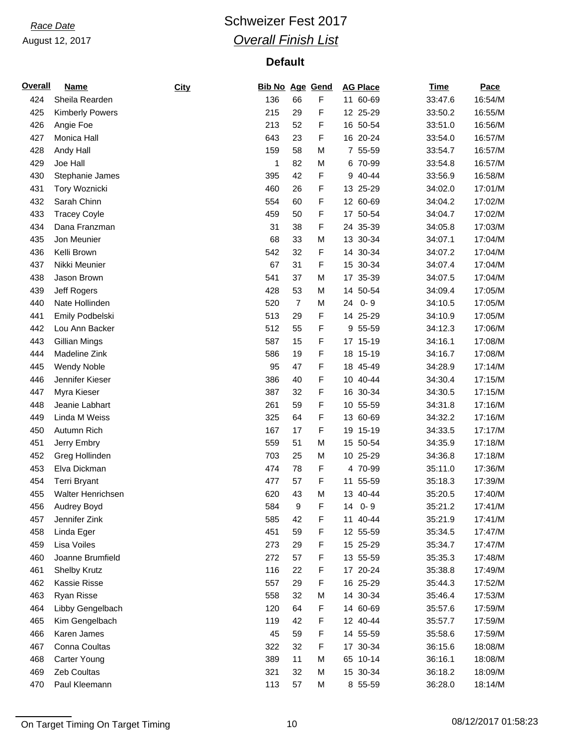# **Race Date Race Date Race Date Race Date Race Date Race 2017** *Overall Finish List*

| <b>Overall</b> | <b>Name</b>            | City | <b>Bib No Age Gend</b> |                |   | <b>AG Place</b> | <b>Time</b> | Pace    |
|----------------|------------------------|------|------------------------|----------------|---|-----------------|-------------|---------|
| 424            | Sheila Rearden         |      | 136                    | 66             | F | 11 60-69        | 33:47.6     | 16:54/M |
| 425            | <b>Kimberly Powers</b> |      | 215                    | 29             | F | 12 25-29        | 33:50.2     | 16:55/M |
| 426            | Angie Foe              |      | 213                    | 52             | F | 16 50-54        | 33:51.0     | 16:56/M |
| 427            | Monica Hall            |      | 643                    | 23             | F | 16 20-24        | 33:54.0     | 16:57/M |
| 428            | Andy Hall              |      | 159                    | 58             | M | 7 55-59         | 33:54.7     | 16:57/M |
| 429            | Joe Hall               |      | 1                      | 82             | M | 6 70-99         | 33:54.8     | 16:57/M |
| 430            | Stephanie James        |      | 395                    | 42             | F | 9 40-44         | 33:56.9     | 16:58/M |
| 431            | Tory Woznicki          |      | 460                    | 26             | F | 13 25-29        | 34:02.0     | 17:01/M |
| 432            | Sarah Chinn            |      | 554                    | 60             | F | 12 60-69        | 34:04.2     | 17:02/M |
| 433            | <b>Tracey Coyle</b>    |      | 459                    | 50             | F | 17 50-54        | 34:04.7     | 17:02/M |
| 434            | Dana Franzman          |      | 31                     | 38             | F | 24 35-39        | 34:05.8     | 17:03/M |
| 435            | Jon Meunier            |      | 68                     | 33             | M | 13 30-34        | 34:07.1     | 17:04/M |
| 436            | Kelli Brown            |      | 542                    | 32             | F | 14 30-34        | 34:07.2     | 17:04/M |
| 437            | Nikki Meunier          |      | 67                     | 31             | F | 15 30-34        | 34:07.4     | 17:04/M |
| 438            | Jason Brown            |      | 541                    | 37             | M | 17 35-39        | 34:07.5     | 17:04/M |
| 439            | Jeff Rogers            |      | 428                    | 53             | M | 50-54<br>14     | 34:09.4     | 17:05/M |
| 440            | Nate Hollinden         |      | 520                    | $\overline{7}$ | M | $0 - 9$<br>24   | 34:10.5     | 17:05/M |
| 441            | Emily Podbelski        |      | 513                    | 29             | F | 14 25-29        | 34:10.9     | 17:05/M |
| 442            | Lou Ann Backer         |      | 512                    | 55             | F | 9 55-59         | 34:12.3     | 17:06/M |
| 443            | Gillian Mings          |      | 587                    | 15             | F | 17 15-19        | 34:16.1     | 17:08/M |
| 444            | Madeline Zink          |      | 586                    | 19             | F | 18 15-19        | 34:16.7     | 17:08/M |
| 445            | <b>Wendy Noble</b>     |      | 95                     | 47             | F | 18 45-49        | 34:28.9     | 17:14/M |
| 446            | Jennifer Kieser        |      | 386                    | 40             | F | 10 40-44        | 34:30.4     | 17:15/M |
| 447            | Myra Kieser            |      | 387                    | 32             | F | 16 30-34        | 34:30.5     | 17:15/M |
| 448            | Jeanie Labhart         |      | 261                    | 59             | F | 10 55-59        | 34:31.8     | 17:16/M |
| 449            | Linda M Weiss          |      | 325                    | 64             | F | 13 60-69        | 34:32.2     | 17:16/M |
| 450            | Autumn Rich            |      | 167                    | 17             | F | 19 15-19        | 34:33.5     | 17:17/M |
| 451            | Jerry Embry            |      | 559                    | 51             | M | 15 50-54        | 34:35.9     | 17:18/M |
| 452            | Greg Hollinden         |      | 703                    | 25             | M | 10 25-29        | 34:36.8     | 17:18/M |
| 453            | Elva Dickman           |      | 474                    | 78             | F | 4 70-99         | 35:11.0     | 17:36/M |
| 454            | <b>Terri Bryant</b>    |      | 477                    | 57             | F | 11 55-59        | 35:18.3     | 17:39/M |
| 455            | Walter Henrichsen      |      | 620                    | 43             | M | 13 40-44        | 35:20.5     | 17:40/M |
| 456            | Audrey Boyd            |      | 584                    | 9              | F | 14<br>$0 - 9$   | 35:21.2     | 17:41/M |
| 457            | Jennifer Zink          |      | 585                    | 42             | F | 11 40-44        | 35:21.9     | 17:41/M |
| 458            | Linda Eger             |      | 451                    | 59             | F | 12 55-59        | 35:34.5     | 17:47/M |
| 459            | Lisa Voiles            |      | 273                    | 29             | F | 15 25-29        | 35:34.7     | 17:47/M |
| 460            | Joanne Brumfield       |      | 272                    | 57             | F | 13 55-59        | 35:35.3     | 17:48/M |
| 461            | <b>Shelby Krutz</b>    |      | 116                    | 22             | F | 17 20-24        | 35:38.8     | 17:49/M |
| 462            | Kassie Risse           |      | 557                    | 29             | F | 16 25-29        | 35:44.3     | 17:52/M |
| 463            | Ryan Risse             |      | 558                    | 32             | M | 14 30-34        | 35:46.4     | 17:53/M |
| 464            | Libby Gengelbach       |      | 120                    | 64             | F | 14 60-69        | 35:57.6     | 17:59/M |
| 465            | Kim Gengelbach         |      | 119                    | 42             | F | 12 40-44        | 35:57.7     | 17:59/M |
| 466            | Karen James            |      | 45                     | 59             | F | 14 55-59        | 35:58.6     | 17:59/M |
| 467            | Conna Coultas          |      | 322                    | 32             | F | 17 30-34        | 36:15.6     | 18:08/M |
| 468            | Carter Young           |      | 389                    | 11             | M | 65 10-14        | 36:16.1     | 18:08/M |
| 469            | Zeb Coultas            |      | 321                    | 32             | M | 15 30-34        | 36:18.2     | 18:09/M |
| 470            | Paul Kleemann          |      | 113                    | 57             | М | 8 55-59         | 36:28.0     | 18:14/M |

On Target Timing On Target Timing 10 08/12/2017 01:58:23